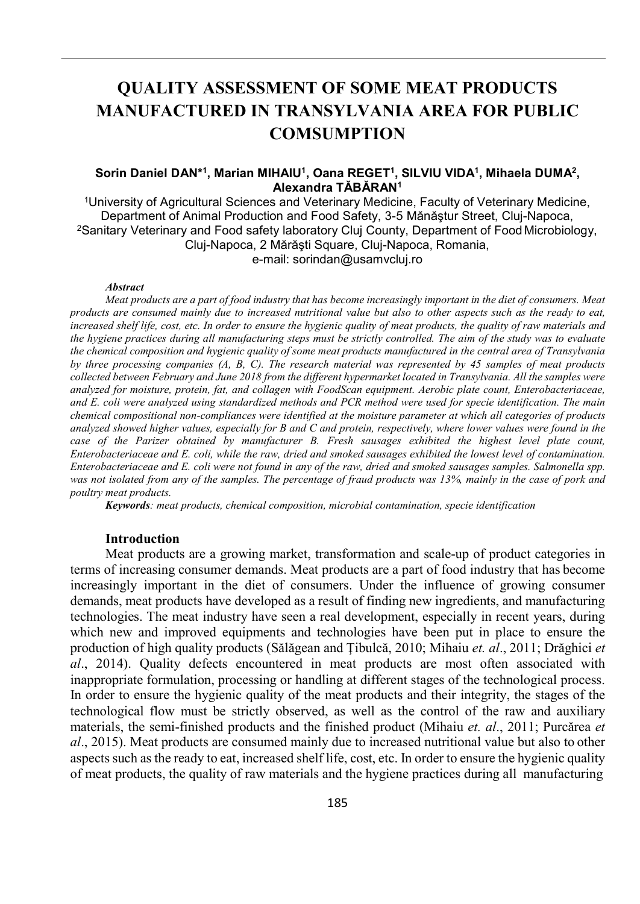# **QUALITY ASSESSMENT OF SOME MEAT PRODUCTS MANUFACTURED IN TRANSYLVANIA AREA FOR PUBLIC COMSUMPTION**

### Sorin Daniel DAN<sup>\*1</sup>, Marian MIHAIU<sup>1</sup>, Oana REGET<sup>1</sup>, SILVIU VIDA<sup>1</sup>, Mihaela DUMA<sup>2</sup>, **Alexandra TĂBĂRAN1**

1University of Agricultural Sciences and Veterinary Medicine, Faculty of Veterinary Medicine, Department of Animal Production and Food Safety, 3-5 Mănăştur Street, Cluj-Napoca, 2Sanitary Veterinary and Food safety laboratory Cluj County, Department of Food Microbiology, Cluj-Napoca, 2 Mărăşti Square, Cluj-Napoca, Romania, e-mail: [sorindan@usamvcluj.ro](mailto:sorindan@usamvcluj.ro)

#### *Abstract*

Meat products are a part of food industry that has become increasingly important in the diet of consumers. Meat *products are consumed mainly due to increased nutritional value but also to other aspects such as the ready to eat, increased shelf life, cost, etc. In order to ensure the hygienic quality of meat products, the quality of raw materials and the hygiene practices during all manufacturing steps must be strictly controlled. The aim of the study was to evaluate the chemical composition and hygienic quality of some meat products manufactured in the central area of Transylvania by three processing companies (A, B, C). The research material was represented by 45 samples of meat products*  collected between February and June 2018 from the different hypermarket located in Transylvania. All the samples were *analyzed for moisture, protein, fat, and collagen with FoodScan equipment. Aerobic plate count, Enterobacteriaceae, and E. coli were analyzed using standardized methods and PCR method were used for specie identification. The main chemical compositional non-compliances were identified at the moisture parameter at which all categories of products analyzed showed higher values, especially for B and C and protein, respectively, where lower values were found in the case of the Parizer obtained by manufacturer B. Fresh sausages exhibited the highest level plate count, Enterobacteriaceae and E. coli, while the raw, dried and smoked sausages exhibited the lowest level of contamination. Enterobacteriaceae and E. coli were not found in any of the raw, dried and smoked sausages samples. Salmonella spp.*  was not isolated from any of the samples. The percentage of fraud products was 13%, mainly in the case of pork and *poultry meat products.*

*Keywords: meat products, chemical composition, microbial contamination, specie identification*

## **Introduction**

Meat products are a growing market, transformation and scale-up of product categories in terms of increasing consumer demands. Meat products are a part of food industry that has become increasingly important in the diet of consumers. Under the influence of growing consumer demands, meat products have developed as a result of finding new ingredients, and manufacturing technologies. The meat industry have seen a real development, especially in recent years, during which new and improved equipments and technologies have been put in place to ensure the production of high quality products (Sălăgean and Ţibulcă, 2010; Mihaiu *et. al*., 2011; Drăghici *et al*., 2014). Quality defects encountered in meat products are most often associated with inappropriate formulation, processing or handling at different stages of the technological process. In order to ensure the hygienic quality of the meat products and their integrity, the stages of the technological flow must be strictly observed, as well as the control of the raw and auxiliary materials, the semi-finished products and the finished product (Mihaiu *et. al*., 2011; Purcărea *et al*., 2015). Meat products are consumed mainly due to increased nutritional value but also to other aspects such as the ready to eat, increased shelf life, cost, etc. In order to ensure the hygienic quality of meat products, the quality of raw materials and the hygiene practices during all manufacturing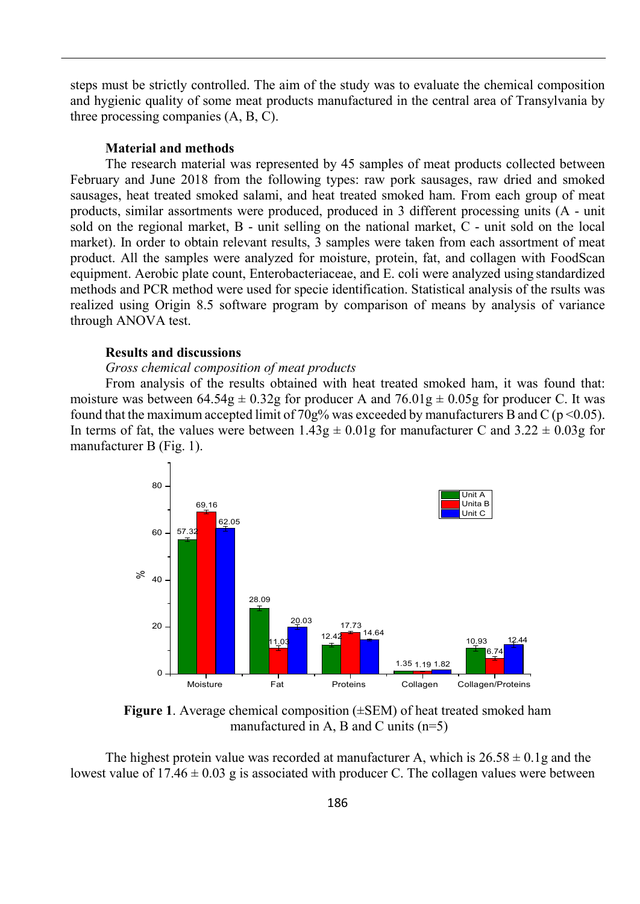steps must be strictly controlled. The aim of the study was to evaluate the chemical composition and hygienic quality of some meat products manufactured in the central area of Transylvania by three processing companies (A, B, C).

#### **Material and methods**

The research material was represented by 45 samples of meat products collected between February and June 2018 from the following types: raw pork sausages, raw dried and smoked sausages, heat treated smoked salami, and heat treated smoked ham. From each group of meat products, similar assortments were produced, produced in 3 different processing units (A - unit sold on the regional market, B - unit selling on the national market, C - unit sold on the local market). In order to obtain relevant results, 3 samples were taken from each assortment of meat product. All the samples were analyzed for moisture, protein, fat, and collagen with FoodScan equipment. Aerobic plate count, Enterobacteriaceae, and E. coli were analyzed using standardized methods and PCR method were used for specie identification. Statistical analysis of the rsults was realized using Origin 8.5 software program by comparison of means by analysis of variance through ANOVA test.

#### **Results and discussions**

#### *Gross chemical composition of meat products*

From analysis of the results obtained with heat treated smoked ham, it was found that: moisture was between  $64.54g \pm 0.32g$  for producer A and  $76.01g \pm 0.05g$  for producer C. It was found that the maximum accepted limit of 70g% was exceeded by manufacturers B and C ( $p \le 0.05$ ). In terms of fat, the values were between  $1.43g \pm 0.01g$  for manufacturer C and  $3.22 \pm 0.03g$  for manufacturer B (Fig. 1).



**Figure 1**. Average chemical composition (±SEM) of heat treated smoked ham manufactured in A, B and C units  $(n=5)$ 

The highest protein value was recorded at manufacturer A, which is  $26.58 \pm 0.1$ g and the lowest value of  $17.46 \pm 0.03$  g is associated with producer C. The collagen values were between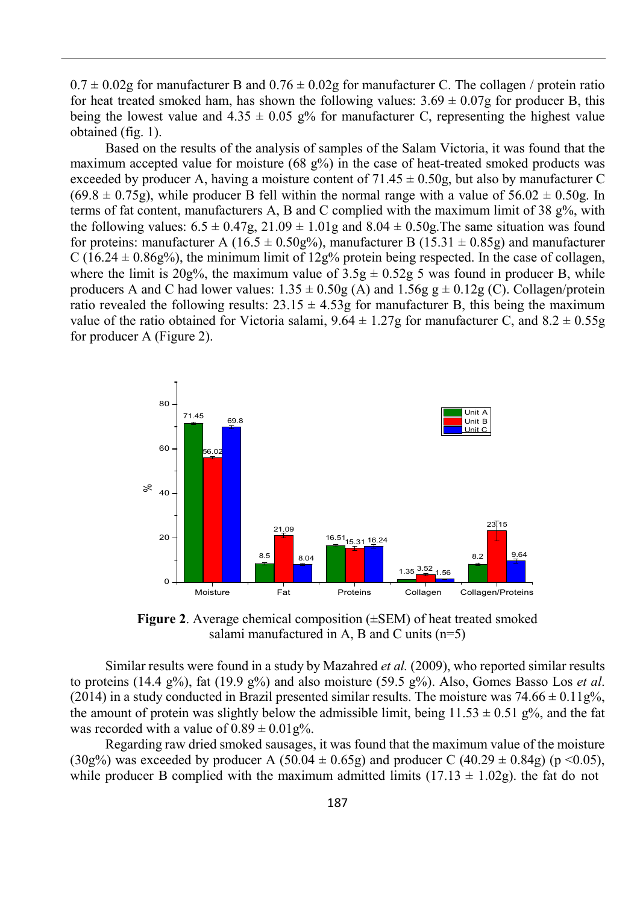$0.7 \pm 0.02$ g for manufacturer B and  $0.76 \pm 0.02$ g for manufacturer C. The collagen / protein ratio for heat treated smoked ham, has shown the following values:  $3.69 \pm 0.07$ g for producer B, this being the lowest value and  $4.35 \pm 0.05$  g% for manufacturer C, representing the highest value obtained (fig. 1).

Based on the results of the analysis of samples of the Salam Victoria, it was found that the maximum accepted value for moisture  $(68 \text{ g\%)}$  in the case of heat-treated smoked products was exceeded by producer A, having a moisture content of  $71.45 \pm 0.50$ g, but also by manufacturer C  $(69.8 \pm 0.75g)$ , while producer B fell within the normal range with a value of  $56.02 \pm 0.50g$ . In terms of fat content, manufacturers A, B and C complied with the maximum limit of 38 g%, with the following values:  $6.5 \pm 0.47$ g,  $21.09 \pm 1.01$ g and  $8.04 \pm 0.50$ g. The same situation was found for proteins: manufacturer A ( $16.5 \pm 0.50$ g%), manufacturer B ( $15.31 \pm 0.85$ g) and manufacturer C (16.24  $\pm$  0.86g%), the minimum limit of 12g% protein being respected. In the case of collagen, where the limit is 20g%, the maximum value of  $3.5g \pm 0.52g 5$  was found in producer B, while producers A and C had lower values:  $1.35 \pm 0.50g$  (A) and  $1.56g$  g  $\pm 0.12g$  (C). Collagen/protein ratio revealed the following results:  $23.15 \pm 4.53$  for manufacturer B, this being the maximum value of the ratio obtained for Victoria salami,  $9.64 \pm 1.27$  g for manufacturer C, and  $8.2 \pm 0.55$  g for producer A (Figure 2).



**Figure 2**. Average chemical composition (±SEM) of heat treated smoked salami manufactured in A, B and C units  $(n=5)$ 

Similar results were found in a study by Mazahred *et al.* (2009), who reported similar results to proteins  $(14.4 \text{ g\%})$ , fat  $(19.9 \text{ g\%})$  and also moisture  $(59.5 \text{ g\%})$ . Also, Gomes Basso Los *et al.* (2014) in a study conducted in Brazil presented similar results. The moisture was  $74.66 \pm 0.11$  g%, the amount of protein was slightly below the admissible limit, being  $11.53 \pm 0.51$  g%, and the fat was recorded with a value of  $0.89 \pm 0.01$  g%.

Regarding raw dried smoked sausages, it was found that the maximum value of the moisture (30g%) was exceeded by producer A (50.04  $\pm$  0.65g) and producer C (40.29  $\pm$  0.84g) (p <0.05), while producer B complied with the maximum admitted limits (17.13  $\pm$  1.02g). the fat do not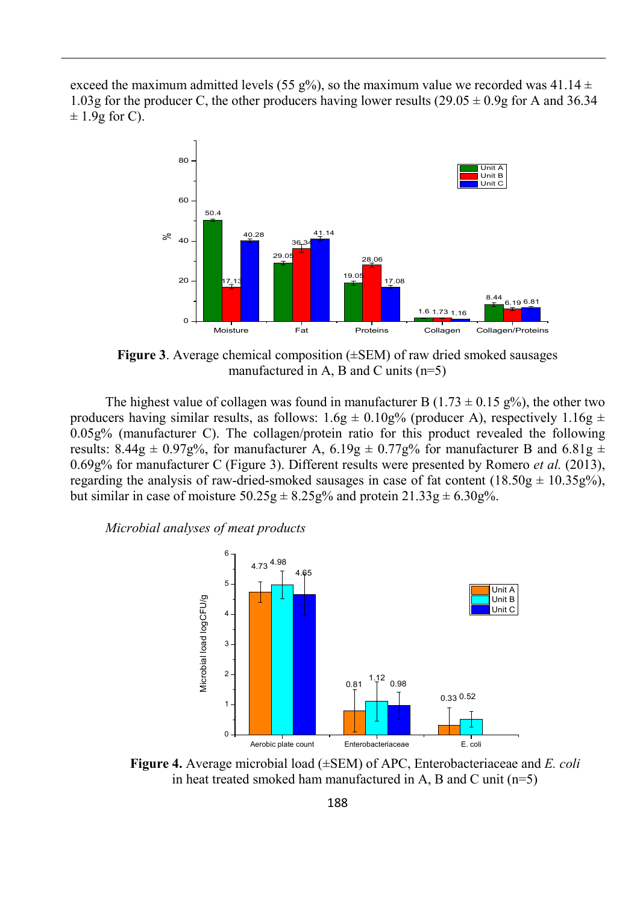exceed the maximum admitted levels (55 g%), so the maximum value we recorded was 41.14  $\pm$ 1.03g for the producer C, the other producers having lower results  $(29.05 \pm 0.9g$  for A and 36.34  $\pm$  1.9g for C).



**Figure 3**. Average chemical composition (±SEM) of raw dried smoked sausages manufactured in A, B and C units (n=5)

The highest value of collagen was found in manufacturer B (1.73  $\pm$  0.15 g%), the other two producers having similar results, as follows:  $1.6g \pm 0.10g\%$  (producer A), respectively  $1.16g \pm 0.10g\%$ 0.05g% (manufacturer C). The collagen/protein ratio for this product revealed the following results: 8.44g  $\pm$  0.97g%, for manufacturer A, 6.19g  $\pm$  0.77g% for manufacturer B and 6.81g  $\pm$ 0.69g% for manufacturer C (Figure 3). Different results were presented by Romero *et al.* (2013), regarding the analysis of raw-dried-smoked sausages in case of fat content  $(18.50g \pm 10.35g\%)$ , but similar in case of moisture  $50.25g \pm 8.25g\%$  and protein  $21.33g \pm 6.30g\%$ .

*Microbial analyses of meat products*



**Figure 4.** Average microbial load (±SEM) of APC, Enterobacteriaceae and *E. coli* in heat treated smoked ham manufactured in A, B and C unit (n=5)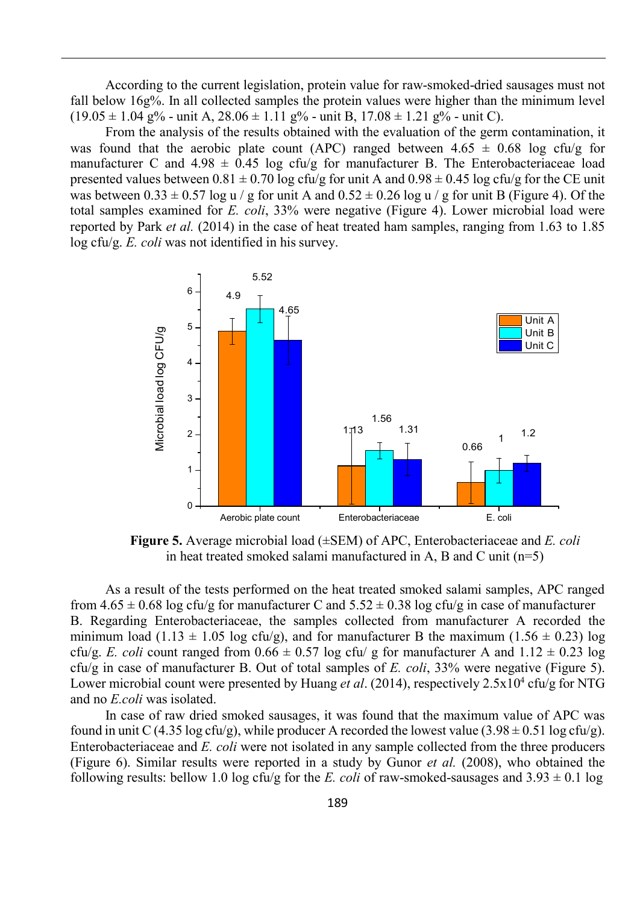According to the current legislation, protein value for raw-smoked-dried sausages must not fall below 16g%. In all collected samples the protein values were higher than the minimum level  $(19.05 \pm 1.04 \text{ g\%} - \text{unit A}, 28.06 \pm 1.11 \text{ g\%} - \text{unit B}, 17.08 \pm 1.21 \text{ g\%} - \text{unit C}).$ 

From the analysis of the results obtained with the evaluation of the germ contamination, it was found that the aerobic plate count (APC) ranged between  $4.65 \pm 0.68$  log cfu/g for manufacturer C and  $4.98 \pm 0.45$  log cfu/g for manufacturer B. The Enterobacteriaceae load presented values between  $0.81 \pm 0.70$  log cfu/g for unit A and  $0.98 \pm 0.45$  log cfu/g for the CE unit was between  $0.33 \pm 0.57 \log u / g$  for unit A and  $0.52 \pm 0.26 \log u / g$  for unit B (Figure 4). Of the total samples examined for *E. coli*, 33% were negative (Figure 4). Lower microbial load were reported by Park *et al.* (2014) in the case of heat treated ham samples, ranging from 1.63 to 1.85 log cfu/g. *E. coli* was not identified in his survey.



**Figure 5.** Average microbial load (±SEM) of APC, Enterobacteriaceae and *E. coli* in heat treated smoked salami manufactured in A, B and C unit (n=5)

As a result of the tests performed on the heat treated smoked salami samples, APC ranged from  $4.65 \pm 0.68$  log cfu/g for manufacturer C and  $5.52 \pm 0.38$  log cfu/g in case of manufacturer B. Regarding Enterobacteriaceae, the samples collected from manufacturer A recorded the minimum load (1.13  $\pm$  1.05 log cfu/g), and for manufacturer B the maximum (1.56  $\pm$  0.23) log cfu/g. *E. coli* count ranged from  $0.66 \pm 0.57$  log cfu/ g for manufacturer A and  $1.12 \pm 0.23$  log cfu/g in case of manufacturer B. Out of total samples of *E. coli*, 33% were negative (Figure 5). Lower microbial count were presented by Huang *et al.* (2014), respectively 2.5x10<sup>4</sup> cfu/g for NTG and no *E.coli* was isolated.

In case of raw dried smoked sausages, it was found that the maximum value of APC was found in unit C (4.35 log cfu/g), while producer A recorded the lowest value (3.98  $\pm$  0.51 log cfu/g). Enterobacteriaceae and *E. coli* were not isolated in any sample collected from the three producers (Figure 6). Similar results were reported in a study by Gunor *et al.* (2008), who obtained the following results: bellow 1.0 log cfu/g for the *E. coli* of raw-smoked-sausages and  $3.93 \pm 0.1$  log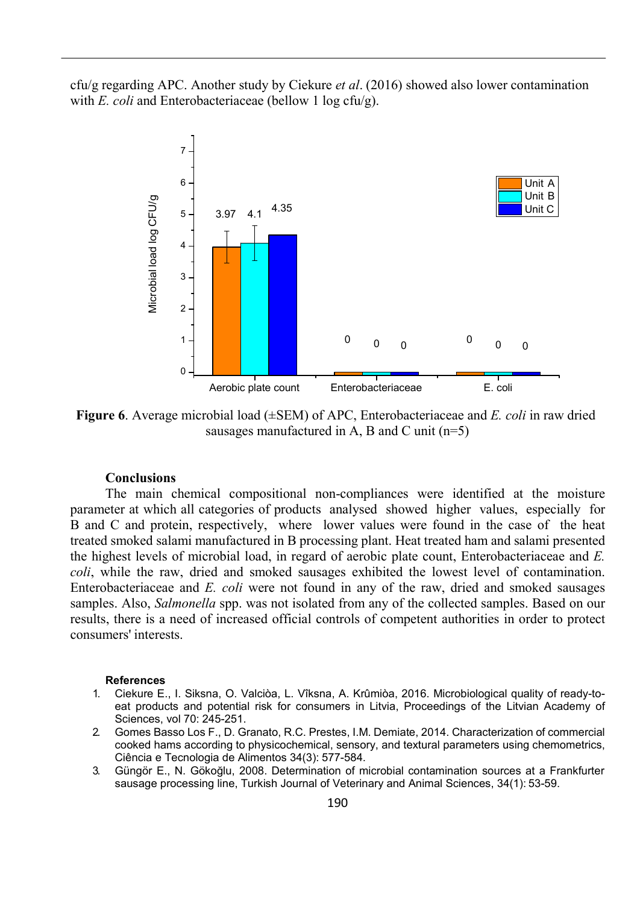cfu/g regarding APC. Another study by Ciekure *et al*. (2016) showed also lower contamination with *E. coli* and Enterobacteriaceae (bellow 1 log cfu/g).



**Figure 6**. Average microbial load (±SEM) of APC, Enterobacteriaceae and *E. coli* in raw dried sausages manufactured in A, B and C unit (n=5)

#### **Conclusions**

The main chemical compositional non-compliances were identified at the moisture parameter at which all categories of products analysed showed higher values, especially for B and C and protein, respectively, where lower values were found in the case of the heat treated smoked salami manufactured in B processing plant. Heat treated ham and salami presented the highest levels of microbial load, in regard of aerobic plate count, Enterobacteriaceae and *E. coli*, while the raw, dried and smoked sausages exhibited the lowest level of contamination. Enterobacteriaceae and *E. coli* were not found in any of the raw, dried and smoked sausages samples. Also, *Salmonella* spp. was not isolated from any of the collected samples. Based on our results, there is a need of increased official controls of competent authorities in order to protect consumers' interests.

#### **References**

- 1. Ciekure E., I. Siksna, O. Valciòa, L. Vîksna, A. Krûmiòa, 2016. Microbiological quality of ready-toeat products and potential risk for consumers in Litvia, Proceedings of the Litvian Academy of Sciences, vol 70: 245-251.
- 2. Gomes Basso Los F., D. Granato, R.C. Prestes, I.M. Demiate, 2014. Characterization of commercial cooked hams according to physicochemical, sensory, and textural parameters using chemometrics, Ciência e Tecnologia de Alimentos 34(3): 577-584.
- 3. Güngör E., N. Gökoğlu, 2008. Determination of microbial contamination sources at a Frankfurter sausage processing line, Turkish Journal of Veterinary and Animal Sciences, 34(1): 53-59.